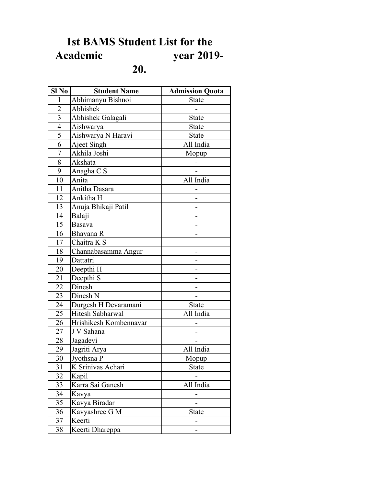## **1st BAMS Student List for the**  year 2019-**20.**

| Sl No                   | <b>Student Name</b>    | <b>Admission Quota</b> |
|-------------------------|------------------------|------------------------|
| $\mathbf{1}$            | Abhimanyu Bishnoi      | <b>State</b>           |
| $\overline{2}$          | Abhishek               |                        |
| $\overline{\mathbf{3}}$ | Abhishek Galagali      | <b>State</b>           |
| $\overline{4}$          | Aishwarya              | <b>State</b>           |
| 5                       | Aishwarya N Haravi     | <b>State</b>           |
| 6                       | Ajeet Singh            | All India              |
| $\overline{7}$          | Akhila Joshi           | Mopup                  |
| 8                       | Akshata                |                        |
| 9                       | Anagha C S             |                        |
| 10                      | Anita                  | All India              |
| 11                      | Anitha Dasara          |                        |
| 12                      | Ankitha H              |                        |
| 13                      | Anuja Bhikaji Patil    |                        |
| 14                      | Balaji                 |                        |
| 15                      | Basava                 |                        |
| 16                      | Bhavana R              |                        |
| 17                      | Chaitra K S            |                        |
| 18                      | Channabasamma Angur    |                        |
| 19                      | Dattatri               |                        |
| 20                      | Deepthi H              |                        |
| 21                      | Deepthi <sub>S</sub>   |                        |
| 22                      | Dinesh                 |                        |
| 23                      | Dinesh N               |                        |
| 24                      | Durgesh H Devaramani   | <b>State</b>           |
| 25                      | Hitesh Sabharwal       | All India              |
| 26                      | Hrishikesh Kombennavar |                        |
| 27                      | J V Sahana             |                        |
| 28                      | Jagadevi               |                        |
| 29                      | Jagriti Arya           | All India              |
| 30                      | Jyothsna P             | Mopup                  |
| 31                      | K Srinivas Achari      | <b>State</b>           |
| 32                      | Kapil                  |                        |
| 33                      | Karra Sai Ganesh       | All India              |
| 34                      | Kavya                  |                        |
| 35                      | Kavya Biradar          |                        |
| 36                      | Kavyashree G M         | <b>State</b>           |
| 37                      | Keerti                 |                        |
| 38                      | Keerti Dhareppa        |                        |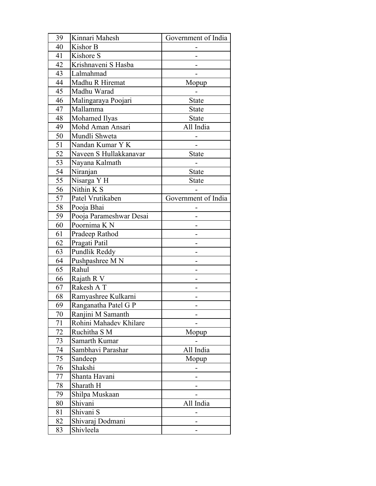| 39 | Kinnari Mahesh          | Government of India |
|----|-------------------------|---------------------|
| 40 | Kishor B                |                     |
| 41 | Kishore S               |                     |
| 42 | Krishnaveni S Hasba     |                     |
| 43 | Lalmahmad               |                     |
| 44 | Madhu R Hiremat         | Mopup               |
| 45 | Madhu Warad             |                     |
| 46 | Malingaraya Poojari     | <b>State</b>        |
| 47 | Mallamma                | <b>State</b>        |
| 48 | Mohamed Ilyas           | <b>State</b>        |
| 49 | Mohd Aman Ansari        | All India           |
| 50 | Mundli Shweta           |                     |
| 51 | Nandan Kumar Y K        |                     |
| 52 | Naveen S Hullakkanavar  | State               |
| 53 | Nayana Kalmath          |                     |
| 54 | Niranjan                | <b>State</b>        |
| 55 | Nisarga Y H             | <b>State</b>        |
| 56 | Nithin K S              |                     |
| 57 | Patel Vrutikaben        | Government of India |
| 58 | Pooja Bhai              |                     |
| 59 | Pooja Parameshwar Desai |                     |
| 60 | Poornima K N            |                     |
| 61 | Pradeep Rathod          |                     |
| 62 | Pragati Patil           |                     |
| 63 | Pundlik Reddy           |                     |
| 64 | Pushpashree M N         |                     |
| 65 | Rahul                   |                     |
| 66 | Rajath R V              |                     |
| 67 | Rakesh AT               |                     |
| 68 | Ramyashree Kulkarni     |                     |
| 69 | Ranganatha Patel G P    |                     |
| 70 | Ranjini M Samanth       |                     |
| 71 | Rohini Mahadev Khilare  |                     |
| 72 | Ruchitha S M            | Mopup               |
| 73 | Samarth Kumar           |                     |
| 74 | Sambhavi Parashar       | All India           |
| 75 | Sandeep                 | Mopup               |
| 76 | Shakshi                 |                     |
| 77 | Shanta Havani           |                     |
| 78 | Sharath H               |                     |
| 79 | Shilpa Muskaan          |                     |
| 80 | Shivani                 | All India           |
| 81 | Shivani S               |                     |
| 82 | Shivaraj Dodmani        |                     |
| 83 | Shivleela               |                     |